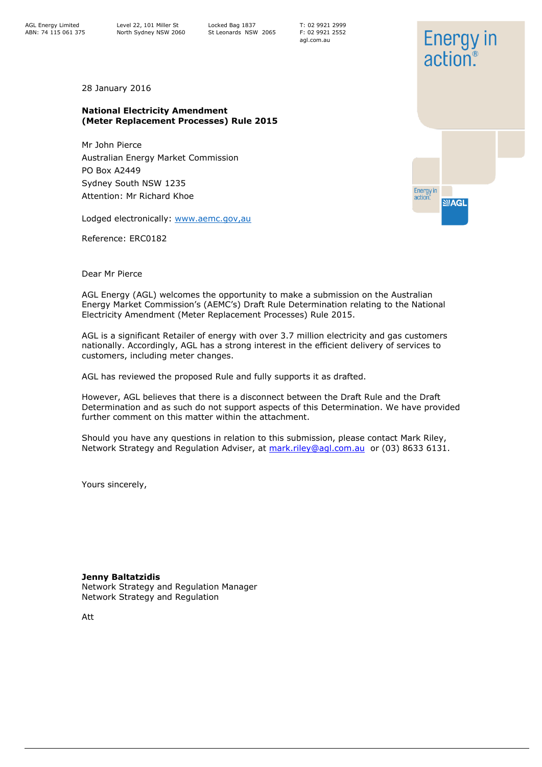Locked Bag 1837 St Leonards NSW 2065 T: 02 9921 2999 F: 02 9921 2552 agl.com.au

28 January 2016

### **National Electricity Amendment (Meter Replacement Processes) Rule 2015**

Mr John Pierce Australian Energy Market Commission PO Box A2449 Sydney South NSW 1235 Attention: Mr Richard Khoe

Lodged electronically: [www.aemc.gov,au](http://www.aemc.gov,au/)

Reference: ERC0182

Dear Mr Pierce

AGL Energy (AGL) welcomes the opportunity to make a submission on the Australian Energy Market Commission's (AEMC's) Draft Rule Determination relating to the National Electricity Amendment (Meter Replacement Processes) Rule 2015.

AGL is a significant Retailer of energy with over 3.7 million electricity and gas customers nationally. Accordingly, AGL has a strong interest in the efficient delivery of services to customers, including meter changes.

AGL has reviewed the proposed Rule and fully supports it as drafted.

However, AGL believes that there is a disconnect between the Draft Rule and the Draft Determination and as such do not support aspects of this Determination. We have provided further comment on this matter within the attachment.

Should you have any questions in relation to this submission, please contact Mark Riley, Network Strategy and Regulation Adviser, at [mark.riley@agl.com.au](mailto:mark.riley@agl.com.au) or (03) 8633 6131.

Yours sincerely,

**Jenny Baltatzidis** 

Network Strategy and Regulation Manager Network Strategy and Regulation

Att

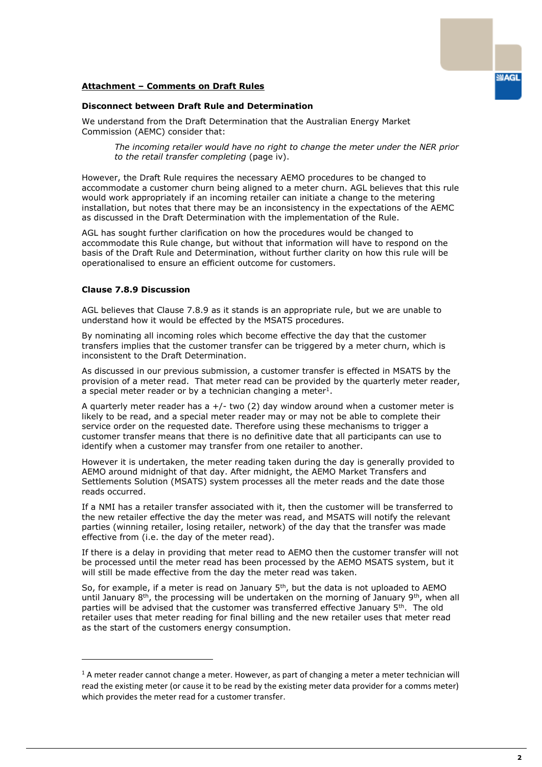# **Attachment – Comments on Draft Rules**

### **Disconnect between Draft Rule and Determination**

We understand from the Draft Determination that the Australian Energy Market Commission (AEMC) consider that:

*The incoming retailer would have no right to change the meter under the NER prior to the retail transfer completing* (page iv).

However, the Draft Rule requires the necessary AEMO procedures to be changed to accommodate a customer churn being aligned to a meter churn. AGL believes that this rule would work appropriately if an incoming retailer can initiate a change to the metering installation, but notes that there may be an inconsistency in the expectations of the AEMC as discussed in the Draft Determination with the implementation of the Rule.

AGL has sought further clarification on how the procedures would be changed to accommodate this Rule change, but without that information will have to respond on the basis of the Draft Rule and Determination, without further clarity on how this rule will be operationalised to ensure an efficient outcome for customers.

# **Clause 7.8.9 Discussion**

ł

AGL believes that Clause 7.8.9 as it stands is an appropriate rule, but we are unable to understand how it would be effected by the MSATS procedures.

By nominating all incoming roles which become effective the day that the customer transfers implies that the customer transfer can be triggered by a meter churn, which is inconsistent to the Draft Determination.

As discussed in our previous submission, a customer transfer is effected in MSATS by the provision of a meter read. That meter read can be provided by the quarterly meter reader, a special meter reader or by a technician changing a meter<sup>1</sup>.

A quarterly meter reader has a  $+/-$  two (2) day window around when a customer meter is likely to be read, and a special meter reader may or may not be able to complete their service order on the requested date. Therefore using these mechanisms to trigger a customer transfer means that there is no definitive date that all participants can use to identify when a customer may transfer from one retailer to another.

However it is undertaken, the meter reading taken during the day is generally provided to AEMO around midnight of that day. After midnight, the AEMO Market Transfers and Settlements Solution (MSATS) system processes all the meter reads and the date those reads occurred.

If a NMI has a retailer transfer associated with it, then the customer will be transferred to the new retailer effective the day the meter was read, and MSATS will notify the relevant parties (winning retailer, losing retailer, network) of the day that the transfer was made effective from (i.e. the day of the meter read).

If there is a delay in providing that meter read to AEMO then the customer transfer will not be processed until the meter read has been processed by the AEMO MSATS system, but it will still be made effective from the day the meter read was taken.

So, for example, if a meter is read on January  $5<sup>th</sup>$ , but the data is not uploaded to AEMO until January  $8<sup>th</sup>$ , the processing will be undertaken on the morning of January  $9<sup>th</sup>$ , when all parties will be advised that the customer was transferred effective January 5th. The old retailer uses that meter reading for final billing and the new retailer uses that meter read as the start of the customers energy consumption.

 $1$  A meter reader cannot change a meter. However, as part of changing a meter a meter technician will read the existing meter (or cause it to be read by the existing meter data provider for a comms meter) which provides the meter read for a customer transfer.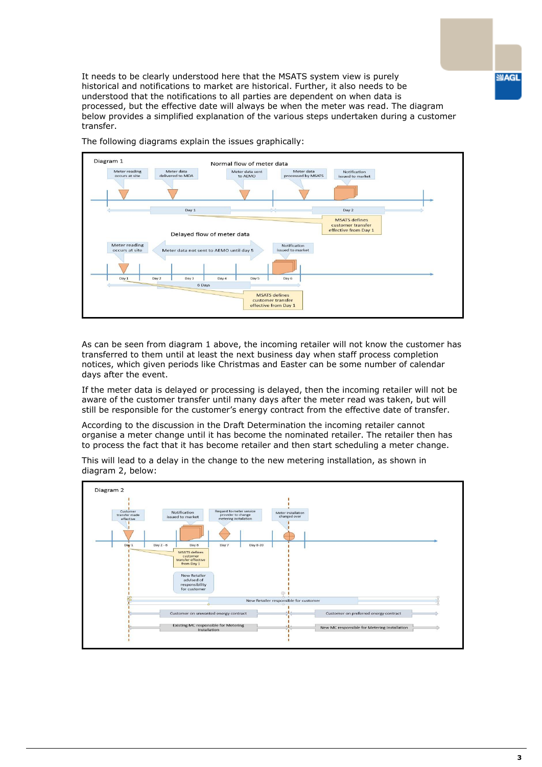It needs to be clearly understood here that the MSATS system view is purely historical and notifications to market are historical. Further, it also needs to be understood that the notifications to all parties are dependent on when data is processed, but the effective date will always be when the meter was read. The diagram below provides a simplified explanation of the various steps undertaken during a customer transfer.



The following diagrams explain the issues graphically:

As can be seen from diagram 1 above, the incoming retailer will not know the customer has transferred to them until at least the next business day when staff process completion notices, which given periods like Christmas and Easter can be some number of calendar days after the event.

If the meter data is delayed or processing is delayed, then the incoming retailer will not be aware of the customer transfer until many days after the meter read was taken, but will still be responsible for the customer's energy contract from the effective date of transfer.

According to the discussion in the Draft Determination the incoming retailer cannot organise a meter change until it has become the nominated retailer. The retailer then has to process the fact that it has become retailer and then start scheduling a meter change.

This will lead to a delay in the change to the new metering installation, as shown in diagram 2, below:

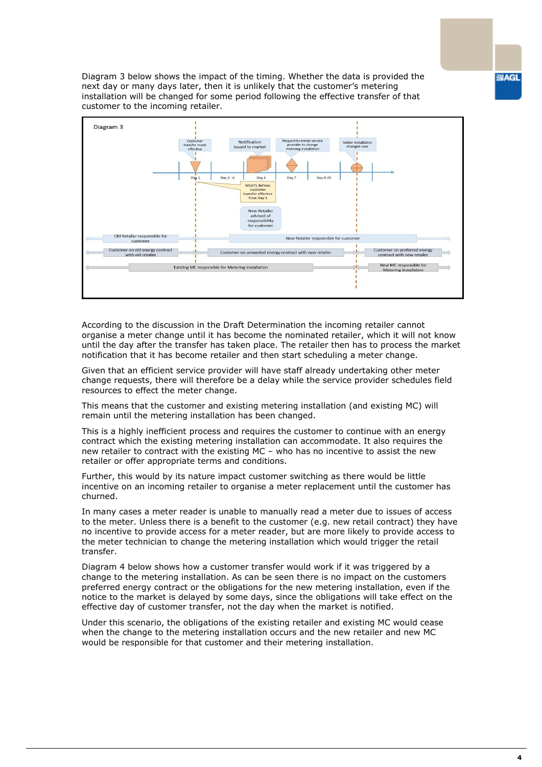Diagram 3 below shows the impact of the timing. Whether the data is provided the next day or many days later, then it is unlikely that the customer's metering installation will be changed for some period following the effective transfer of that customer to the incoming retailer.



According to the discussion in the Draft Determination the incoming retailer cannot organise a meter change until it has become the nominated retailer, which it will not know until the day after the transfer has taken place. The retailer then has to process the market notification that it has become retailer and then start scheduling a meter change.

Given that an efficient service provider will have staff already undertaking other meter change requests, there will therefore be a delay while the service provider schedules field resources to effect the meter change.

This means that the customer and existing metering installation (and existing MC) will remain until the metering installation has been changed.

This is a highly inefficient process and requires the customer to continue with an energy contract which the existing metering installation can accommodate. It also requires the new retailer to contract with the existing MC – who has no incentive to assist the new retailer or offer appropriate terms and conditions.

Further, this would by its nature impact customer switching as there would be little incentive on an incoming retailer to organise a meter replacement until the customer has churned.

In many cases a meter reader is unable to manually read a meter due to issues of access to the meter. Unless there is a benefit to the customer (e.g. new retail contract) they have no incentive to provide access for a meter reader, but are more likely to provide access to the meter technician to change the metering installation which would trigger the retail transfer.

Diagram 4 below shows how a customer transfer would work if it was triggered by a change to the metering installation. As can be seen there is no impact on the customers preferred energy contract or the obligations for the new metering installation, even if the notice to the market is delayed by some days, since the obligations will take effect on the effective day of customer transfer, not the day when the market is notified.

Under this scenario, the obligations of the existing retailer and existing MC would cease when the change to the metering installation occurs and the new retailer and new MC would be responsible for that customer and their metering installation.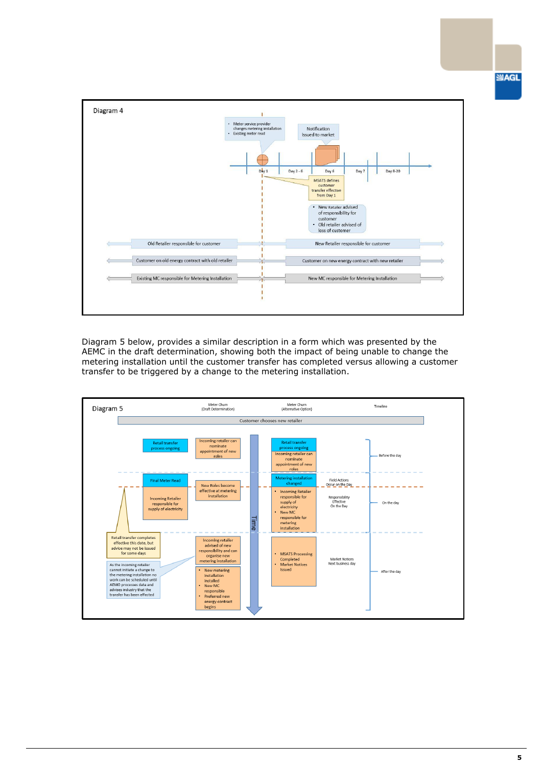**SUAGL** 



Diagram 5 below, provides a similar description in a form which was presented by the AEMC in the draft determination, showing both the impact of being unable to change the metering installation until the customer transfer has completed versus allowing a customer transfer to be triggered by a change to the metering installation.

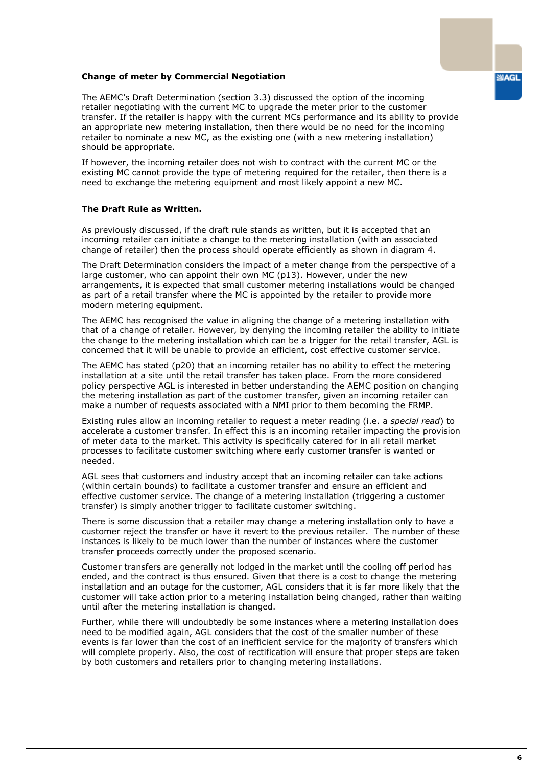# **SIAGL**

# **Change of meter by Commercial Negotiation**

The AEMC's Draft Determination (section 3.3) discussed the option of the incoming retailer negotiating with the current MC to upgrade the meter prior to the customer transfer. If the retailer is happy with the current MCs performance and its ability to provide an appropriate new metering installation, then there would be no need for the incoming retailer to nominate a new MC, as the existing one (with a new metering installation) should be appropriate.

If however, the incoming retailer does not wish to contract with the current MC or the existing MC cannot provide the type of metering required for the retailer, then there is a need to exchange the metering equipment and most likely appoint a new MC.

### **The Draft Rule as Written.**

As previously discussed, if the draft rule stands as written, but it is accepted that an incoming retailer can initiate a change to the metering installation (with an associated change of retailer) then the process should operate efficiently as shown in diagram 4.

The Draft Determination considers the impact of a meter change from the perspective of a large customer, who can appoint their own MC (p13). However, under the new arrangements, it is expected that small customer metering installations would be changed as part of a retail transfer where the MC is appointed by the retailer to provide more modern metering equipment.

The AEMC has recognised the value in aligning the change of a metering installation with that of a change of retailer. However, by denying the incoming retailer the ability to initiate the change to the metering installation which can be a trigger for the retail transfer, AGL is concerned that it will be unable to provide an efficient, cost effective customer service.

The AEMC has stated (p20) that an incoming retailer has no ability to effect the metering installation at a site until the retail transfer has taken place. From the more considered policy perspective AGL is interested in better understanding the AEMC position on changing the metering installation as part of the customer transfer, given an incoming retailer can make a number of requests associated with a NMI prior to them becoming the FRMP.

Existing rules allow an incoming retailer to request a meter reading (i.e. a *special read*) to accelerate a customer transfer. In effect this is an incoming retailer impacting the provision of meter data to the market. This activity is specifically catered for in all retail market processes to facilitate customer switching where early customer transfer is wanted or needed.

AGL sees that customers and industry accept that an incoming retailer can take actions (within certain bounds) to facilitate a customer transfer and ensure an efficient and effective customer service. The change of a metering installation (triggering a customer transfer) is simply another trigger to facilitate customer switching.

There is some discussion that a retailer may change a metering installation only to have a customer reject the transfer or have it revert to the previous retailer. The number of these instances is likely to be much lower than the number of instances where the customer transfer proceeds correctly under the proposed scenario.

Customer transfers are generally not lodged in the market until the cooling off period has ended, and the contract is thus ensured. Given that there is a cost to change the metering installation and an outage for the customer, AGL considers that it is far more likely that the customer will take action prior to a metering installation being changed, rather than waiting until after the metering installation is changed.

Further, while there will undoubtedly be some instances where a metering installation does need to be modified again, AGL considers that the cost of the smaller number of these events is far lower than the cost of an inefficient service for the majority of transfers which will complete properly. Also, the cost of rectification will ensure that proper steps are taken by both customers and retailers prior to changing metering installations.